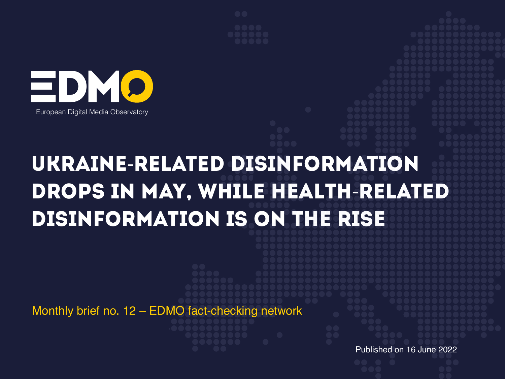



# UKRAINE-RELATED DISINFORMATION DROPS IN MAY, WHILE HEALTH-RELATED DISINFOrmation IS ON THE RISE

Monthly brief no. 12 – EDMO fact-checking network

Published on 16 June 2022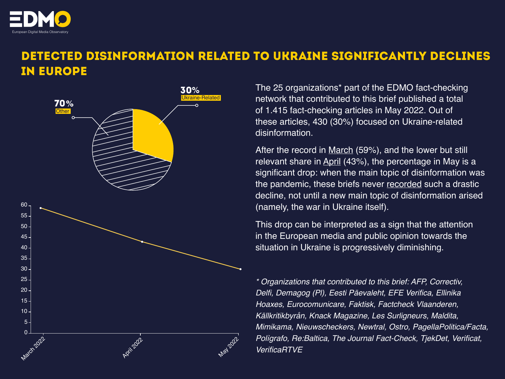

## DETECTED DISINFORMATION RELATED TO UKRAINE SIGNIFICANTLY DECLINES IN EUROPE



The 25 organizations\* part of the EDMO fact-checking network that contributed to this brief published a total of 1.415 fact-checking articles in May 2022. Out of these articles, 430 (30%) focused on Ukraine-related disinformation.

After the record in [March](https://edmo.eu/fact-checking-briefs/#1645789434065-14f5328f-4517) (59%), and the lower but still relevant share in [April](https://edmo.eu/fact-checking-briefs/#1652683824455-504c0bad-6278) (43%), the percentage in May is a significant drop: when the main topic of disinformation was the pandemic, these briefs never [recorded](https://edmo.eu/fact-checking-briefs/) such a drastic decline, not until a new main topic of disinformation arised (namely, the war in Ukraine itself).

This drop can be interpreted as a sign that the attention in the European media and public opinion towards the situation in Ukraine is progressively diminishing.

*\* Organizations that contributed to this brief: AFP, Correctiv,*  Delfi, Demagog (PI), Eesti Päevaleht, EFE Verifica, Ellinika Hoaxes, Eurocomunicare, Faktisk, Factcheck Vlaanderen, Källkritikbyrån, Knack Magazine, Les Surligneurs, Maldita, Mimikama, Nieuwscheckers, Newtral, Ostro, PagellaPolitica/Facta, Polìgrafo, Re:Baltica, The Journal Fact-Check, TjekDet, Verificat, VerificaRTVE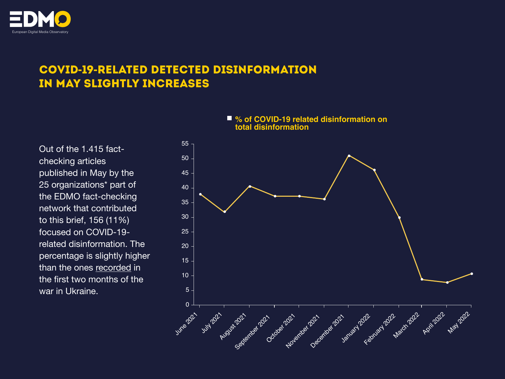

#### COVID**-**19**-**RELATED DETECTED DISINFORMATION IN MAY SLIGHTLY INCREASES

Out of the 1.415 factchecking articles published in May by the 25 organizations\* part of the EDMO fact-checking network that contributed to this brief, 156 (11%) focused on COVID-19 related disinformation. The percentage is slightly higher than the ones [recorded](https://edmo.eu/fact-checking-briefs/#1645789434065-14f5328f-4517) in the first two months of the war in Ukraine.

### Rugber 2022 - November 2022 - January 2022 - Kebuary 2022 - Napis 2022 - Napis 2022 July 2021 June 2021 0 50 40 30 20 10 5 55 45 35 25  $15 -$

#### ■ % of COVID-19 related disinformation on **total disinformation**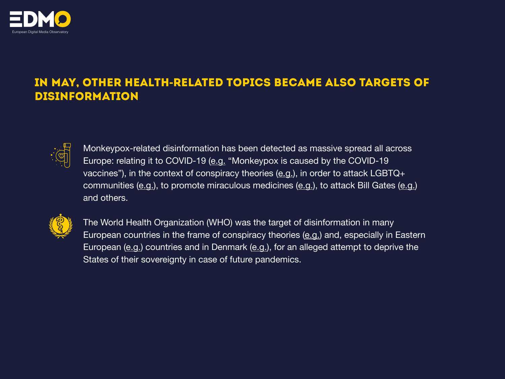

#### IN MAY, OTHER HEALTH**-**RELATED TOPICS BECAME ALSO TARGETS OF DISINFORMATION



Monkeypox-related disinformation has been detected as massive spread all across Europe: relating it to COVID-19 [\(e.g.](https://www.lakmusz.hu/a-szakertok-szerint-lehetetlen-hogy-az-astrazeneca-covid-oltasa-miatt-jelent-volna-meg-a-majomhimlo-europaban/) "Monkeypox is caused by the COVID-19 vaccines"), in the context of conspiracy theories  $(e.g.,)$  $(e.g.,)$ , in order to attack LGBTQ+ communities  $(e.g.,)$  $(e.g.,)$ , to promote miraculous medicines  $(e.g.,)$ , to attack Bill Gates  $(e.g.,)$ and others.



The World Health Organization (WHO) was the target of disinformation in many European countries in the frame of conspiracy theories [\(e.g.](https://www.ellinikahoaxes.gr/2022/05/18/poland-sweden-norway-sue-europe-chemtrails-disinformation/)) and, especially in Eastern European [\(e.g.](https://www.tjekdet.dk/faktatjek/who-kan-ikke-tvinge-alverdens-lande-til-indfoere-vaccinepas-og-krav-om-mundbind-med)) countries and in Denmark (e.g.), for an alleged attempt to deprive the States of their sovereignty in case of future pandemics.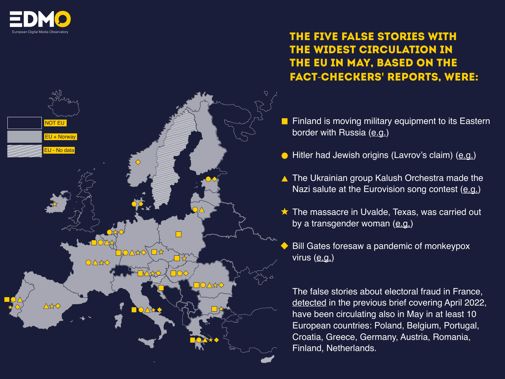



#### THE five FALSE STORIES WITH THE WIDEST CIRCULATION IN THE EU IN MAY, BASED ON THE FACT-CHECKERS**'** REPORTS, WERE:

- Finland is moving military equipment to its Eastern border with Russia  $(e.g.)$  $(e.g.)$
- Hitler had Jewish origins (Lavrov's claim) ([e.g.\)](https://www.15min.lt/naujiena/aktualu/pasaulis/adolfo-hitlerio-zydiskos-kilmes-misles-atsakyma-senele-nusinese-i-kapus-57-1675110)
- ▲ The Ukrainian group Kalush Orchestra made the Nazi salute at the Eurovision song contest [\(e.g.](https://maldita.es/malditobulo/20220517/ucrania-eurovision-saludo-nazi/))
- $\star$  The massacre in Uvalde, Texas, was carried out by a transgender woman ([e.g.](https://mailchi.mp/thejournal/theres-no-going-back-august-factcheck-631230))
- Bill Gates foresaw a pandemic of monkeypox virus ([e.g.\)](https://www.faktisk.no/artikler/jyy86/her-er-konspirasjonsteoriene-om-apekopper)

The false stories about electoral fraud in France, [detected](https://edmo.eu/fact-checking-briefs/#1645789434065-14f5328f-4517) in the previous brief covering April 2022, have been circulating also in May in at least 10 European countries: Poland, Belgium, Portugal, Croatia, Greece, Germany, Austria, Romania, Finland, Netherlands.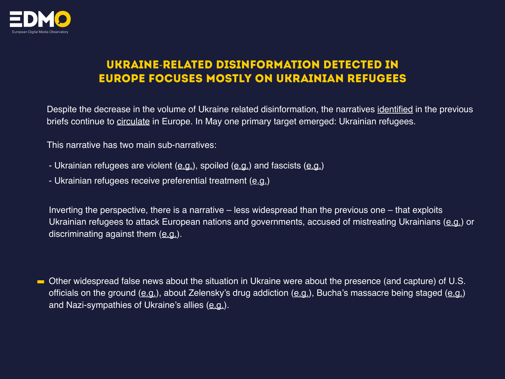

#### UKRAINE-RELATED DISINFORMATION DETECTED IN EUROPE FOCUSES MOSTLY ON UKRAINIAN REFUGEES

Despite the decrease in the volume of Ukraine related disinformation, the narratives identified in the previous briefs continue to [circulate](https://edmo.eu/weekly-insights/) in Europe. In May one primary target emerged: Ukrainian refugees.

This narrative has two main sub-narratives:

- Ukrainian refugees are violent ([e.g.](https://demagog.org.pl/analizy_i_raporty/10-zasad-jak-radzic-sobie-z-dezinformacja-o-przestepczosci-cudzoziemcow/)), spoiled [\(e.g.](https://fakty.afp.com/doc.afp.com.32BJ4DZ)) and fascists (e.g.)
- Ukrainian refugees receive preferential treatment ([e.g.](https://correctiv.org/faktencheck/2022/05/13/nein-fluechtlinge-aus-der-ukraine-bekommen-in-deutschland-nicht-zehn-jahre-frueher-rente-als-deutsche/))

Inverting the perspective, there is a narrative – less widespread than the previous one – that exploits Ukrainian refugees to attack European nations and governments, accused of mistreating Ukrainians ([e.g.\)](https://rus.delfi.ee/statja/120008215/pravda-li-chto-velikobritaniya-planiruet-deportirovat-ukrainskih-bezhencev-v-ruandu) or discriminating against them  $(e.g.)$  $(e.g.)$  $(e.g.)$ .

Other widespread false news about the situation in Ukraine were about the presence (and capture) of U.S. officials on the ground ([e.g.](https://faktantarkistus.afp.com/doc.afp.com.329E2KX)), about Zelensky's drug addiction ([e.g.\)](https://factuel.afp.com/doc.afp.com.329R2LG), Bucha's massacre being staged (e.g.) and Nazi-sympathies of Ukraine's allies ([e.g.\)](https://faktencheck.afp.com/doc.afp.com.329X8UT).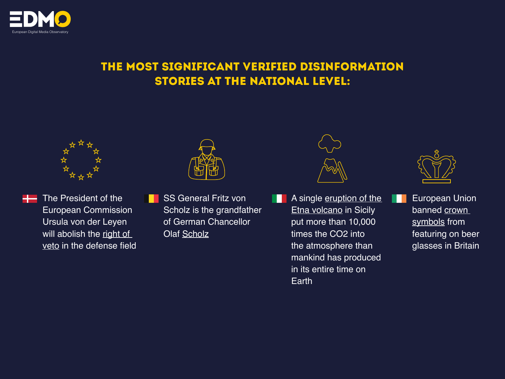

#### THE MOST SIGNIFICANT VERIFIED DISINFORMATION STORIES AT THE NATIONAL LEVEL:





The President of the European Commission Ursula von der Leyen will abolish the right of [veto](https://www.tjekdet.dk/faktatjek/hvad-er-der-med-den-eu-vetoret-som-kommissionsformanden-afviser-ville-droppe) in the defense field



SS General Fritz von Scholz is the grandfather of German Chancellor Olaf [Scholz](https://www.knack.be/factcheck/factcheck-nee-de-duitse-bondskanselier-olaf-scholz-is-niet-de-kleinzoon-van-een-ss-generaal/)



A single [eruption of the](https://facta.news/antibufale/2022/06/09/uneruzione-delletna-non-produce-10mila-volte-la-quantita-di-co2-rilasciata-dallumanita-in-tutta-la-sua-esistenza/)  **[Etna volcano](https://facta.news/antibufale/2022/06/09/uneruzione-delletna-non-produce-10mila-volte-la-quantita-di-co2-rilasciata-dallumanita-in-tutta-la-sua-esistenza/) in Sicily** put more than 10,000 times the CO2 into the atmosphere than mankind has produced in its entire time on Earth



European Union banned crown [symbols f](https://www.thejournal.ie/factcheck-crown-pint-glass-banned-eu-rules-5777946-May2022/)rom featuring on beer glasses in Britain